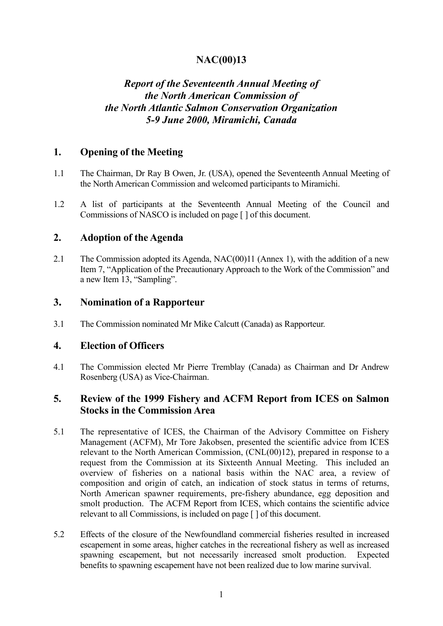# **NAC(00)13**

# *Report of the Seventeenth Annual Meeting of the North American Commission of the North Atlantic Salmon Conservation Organization 5-9 June 2000, Miramichi, Canada*

### **1. Opening of the Meeting**

- 1.1 The Chairman, Dr Ray B Owen, Jr. (USA), opened the Seventeenth Annual Meeting of the North American Commission and welcomed participants to Miramichi.
- 1.2 A list of participants at the Seventeenth Annual Meeting of the Council and Commissions of NASCO is included on page [ ] of this document.

#### **2. Adoption of the Agenda**

2.1 The Commission adopted its Agenda, NAC(00)11 (Annex 1), with the addition of a new Item 7, "Application of the Precautionary Approach to the Work of the Commission" and a new Item 13, "Sampling".

#### **3. Nomination of a Rapporteur**

3.1 The Commission nominated Mr Mike Calcutt (Canada) as Rapporteur.

### **4. Election of Officers**

4.1 The Commission elected Mr Pierre Tremblay (Canada) as Chairman and Dr Andrew Rosenberg (USA) as Vice-Chairman.

## **5. Review of the 1999 Fishery and ACFM Report from ICES on Salmon Stocks in the Commission Area**

- 5.1 The representative of ICES, the Chairman of the Advisory Committee on Fishery Management (ACFM), Mr Tore Jakobsen, presented the scientific advice from ICES relevant to the North American Commission, (CNL(00)12), prepared in response to a request from the Commission at its Sixteenth Annual Meeting. This included an overview of fisheries on a national basis within the NAC area, a review of composition and origin of catch, an indication of stock status in terms of returns, North American spawner requirements, pre-fishery abundance, egg deposition and smolt production. The ACFM Report from ICES, which contains the scientific advice relevant to all Commissions, is included on page [ ] of this document.
- 5.2 Effects of the closure of the Newfoundland commercial fisheries resulted in increased escapement in some areas, higher catches in the recreational fishery as well as increased spawning escapement, but not necessarily increased smolt production. Expected benefits to spawning escapement have not been realized due to low marine survival.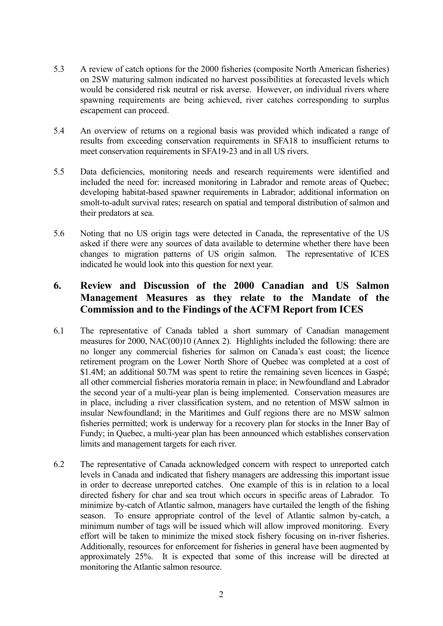- 5.3 A review of catch options for the 2000 fisheries (composite North American fisheries) on 2SW maturing salmon indicated no harvest possibilities at forecasted levels which would be considered risk neutral or risk averse. However, on individual rivers where spawning requirements are being achieved, river catches corresponding to surplus escapement can proceed.
- 5.4 An overview of returns on a regional basis was provided which indicated a range of results from exceeding conservation requirements in SFA18 to insufficient returns to meet conservation requirements in SFA19-23 and in all US rivers.
- 5.5 Data deficiencies, monitoring needs and research requirements were identified and included the need for: increased monitoring in Labrador and remote areas of Quebec; developing habitat-based spawner requirements in Labrador; additional information on smolt-to-adult survival rates; research on spatial and temporal distribution of salmon and their predators at sea.
- 5.6 Noting that no US origin tags were detected in Canada, the representative of the US asked if there were any sources of data available to determine whether there have been changes to migration patterns of US origin salmon. The representative of ICES indicated he would look into this question for next year.

# **6. Review and Discussion of the 2000 Canadian and US Salmon Management Measures as they relate to the Mandate of the Commission and to the Findings of the ACFM Report from ICES**

- 6.1 The representative of Canada tabled a short summary of Canadian management measures for 2000, NAC(00)10 (Annex 2). Highlights included the following: there are no longer any commercial fisheries for salmon on Canada's east coast; the licence retirement program on the Lower North Shore of Quebec was completed at a cost of \$1.4M; an additional \$0.7M was spent to retire the remaining seven licences in Gaspé; all other commercial fisheries moratoria remain in place; in Newfoundland and Labrador the second year of a multi-year plan is being implemented. Conservation measures are in place, including a river classification system, and no retention of MSW salmon in insular Newfoundland; in the Maritimes and Gulf regions there are no MSW salmon fisheries permitted; work is underway for a recovery plan for stocks in the Inner Bay of Fundy; in Quebec, a multi-year plan has been announced which establishes conservation limits and management targets for each river.
- 6.2 The representative of Canada acknowledged concern with respect to unreported catch levels in Canada and indicated that fishery managers are addressing this important issue in order to decrease unreported catches. One example of this is in relation to a local directed fishery for char and sea trout which occurs in specific areas of Labrador. To minimize by-catch of Atlantic salmon, managers have curtailed the length of the fishing season. To ensure appropriate control of the level of Atlantic salmon by-catch, a minimum number of tags will be issued which will allow improved monitoring. Every effort will be taken to minimize the mixed stock fishery focusing on in-river fisheries. Additionally, resources for enforcement for fisheries in general have been augmented by approximately 25%. It is expected that some of this increase will be directed at monitoring the Atlantic salmon resource.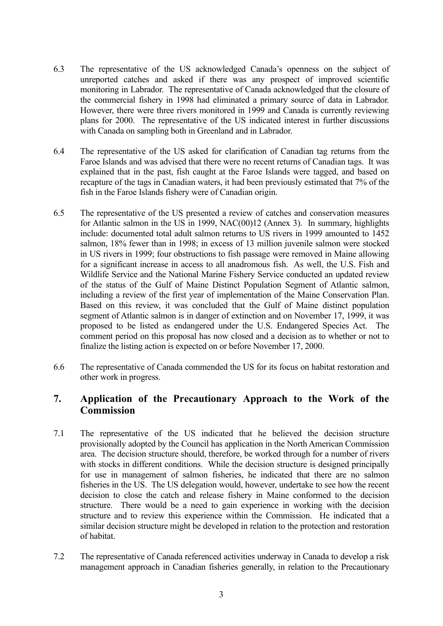- 6.3 The representative of the US acknowledged Canada's openness on the subject of unreported catches and asked if there was any prospect of improved scientific monitoring in Labrador. The representative of Canada acknowledged that the closure of the commercial fishery in 1998 had eliminated a primary source of data in Labrador. However, there were three rivers monitored in 1999 and Canada is currently reviewing plans for 2000. The representative of the US indicated interest in further discussions with Canada on sampling both in Greenland and in Labrador.
- 6.4 The representative of the US asked for clarification of Canadian tag returns from the Faroe Islands and was advised that there were no recent returns of Canadian tags. It was explained that in the past, fish caught at the Faroe Islands were tagged, and based on recapture of the tags in Canadian waters, it had been previously estimated that 7% of the fish in the Faroe Islands fishery were of Canadian origin.
- 6.5 The representative of the US presented a review of catches and conservation measures for Atlantic salmon in the US in 1999, NAC(00)12 (Annex 3). In summary, highlights include: documented total adult salmon returns to US rivers in 1999 amounted to 1452 salmon, 18% fewer than in 1998; in excess of 13 million juvenile salmon were stocked in US rivers in 1999; four obstructions to fish passage were removed in Maine allowing for a significant increase in access to all anadromous fish. As well, the U.S. Fish and Wildlife Service and the National Marine Fishery Service conducted an updated review of the status of the Gulf of Maine Distinct Population Segment of Atlantic salmon, including a review of the first year of implementation of the Maine Conservation Plan. Based on this review, it was concluded that the Gulf of Maine distinct population segment of Atlantic salmon is in danger of extinction and on November 17, 1999, it was proposed to be listed as endangered under the U.S. Endangered Species Act. The comment period on this proposal has now closed and a decision as to whether or not to finalize the listing action is expected on or before November 17, 2000.
- 6.6 The representative of Canada commended the US for its focus on habitat restoration and other work in progress.

## **7. Application of the Precautionary Approach to the Work of the Commission**

- 7.1 The representative of the US indicated that he believed the decision structure provisionally adopted by the Council has application in the North American Commission area. The decision structure should, therefore, be worked through for a number of rivers with stocks in different conditions. While the decision structure is designed principally for use in management of salmon fisheries, he indicated that there are no salmon fisheries in the US. The US delegation would, however, undertake to see how the recent decision to close the catch and release fishery in Maine conformed to the decision structure. There would be a need to gain experience in working with the decision structure and to review this experience within the Commission. He indicated that a similar decision structure might be developed in relation to the protection and restoration of habitat.
- 7.2 The representative of Canada referenced activities underway in Canada to develop a risk management approach in Canadian fisheries generally, in relation to the Precautionary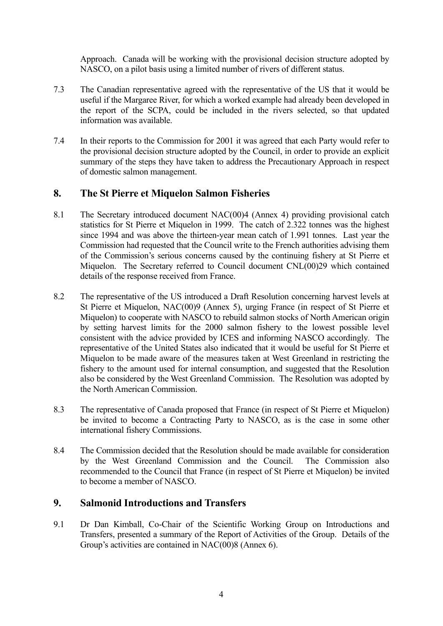Approach. Canada will be working with the provisional decision structure adopted by NASCO, on a pilot basis using a limited number of rivers of different status.

- 7.3 The Canadian representative agreed with the representative of the US that it would be useful if the Margaree River, for which a worked example had already been developed in the report of the SCPA, could be included in the rivers selected, so that updated information was available.
- 7.4 In their reports to the Commission for 2001 it was agreed that each Party would refer to the provisional decision structure adopted by the Council, in order to provide an explicit summary of the steps they have taken to address the Precautionary Approach in respect of domestic salmon management.

### **8. The St Pierre et Miquelon Salmon Fisheries**

- 8.1 The Secretary introduced document NAC(00)4 (Annex 4) providing provisional catch statistics for St Pierre et Miquelon in 1999. The catch of 2.322 tonnes was the highest since 1994 and was above the thirteen-year mean catch of 1.991 tonnes. Last year the Commission had requested that the Council write to the French authorities advising them of the Commission's serious concerns caused by the continuing fishery at St Pierre et Miquelon. The Secretary referred to Council document CNL(00)29 which contained details of the response received from France.
- 8.2 The representative of the US introduced a Draft Resolution concerning harvest levels at St Pierre et Miquelon, NAC(00)9 (Annex 5), urging France (in respect of St Pierre et Miquelon) to cooperate with NASCO to rebuild salmon stocks of North American origin by setting harvest limits for the 2000 salmon fishery to the lowest possible level consistent with the advice provided by ICES and informing NASCO accordingly*.* The representative of the United States also indicated that it would be useful for St Pierre et Miquelon to be made aware of the measures taken at West Greenland in restricting the fishery to the amount used for internal consumption, and suggested that the Resolution also be considered by the West Greenland Commission. The Resolution was adopted by the North American Commission.
- 8.3 The representative of Canada proposed that France (in respect of St Pierre et Miquelon) be invited to become a Contracting Party to NASCO, as is the case in some other international fishery Commissions.
- 8.4 The Commission decided that the Resolution should be made available for consideration by the West Greenland Commission and the Council. The Commission also recommended to the Council that France (in respect of St Pierre et Miquelon) be invited to become a member of NASCO.

### **9. Salmonid Introductions and Transfers**

9.1 Dr Dan Kimball, Co-Chair of the Scientific Working Group on Introductions and Transfers, presented a summary of the Report of Activities of the Group. Details of the Group's activities are contained in NAC(00)8 (Annex 6).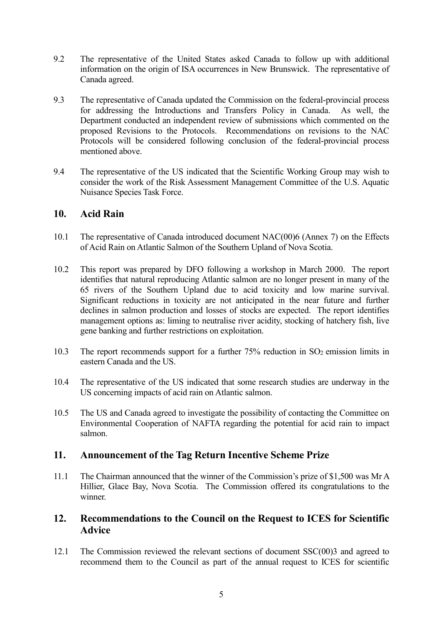- 9.2 The representative of the United States asked Canada to follow up with additional information on the origin of ISA occurrences in New Brunswick. The representative of Canada agreed.
- 9.3 The representative of Canada updated the Commission on the federal-provincial process for addressing the Introductions and Transfers Policy in Canada. As well, the Department conducted an independent review of submissions which commented on the proposed Revisions to the Protocols. Recommendations on revisions to the NAC Protocols will be considered following conclusion of the federal-provincial process mentioned above.
- 9.4 The representative of the US indicated that the Scientific Working Group may wish to consider the work of the Risk Assessment Management Committee of the U.S. Aquatic Nuisance Species Task Force.

### **10. Acid Rain**

- 10.1 The representative of Canada introduced document NAC(00)6 (Annex 7) on the Effects of Acid Rain on Atlantic Salmon of the Southern Upland of Nova Scotia.
- 10.2 This report was prepared by DFO following a workshop in March 2000. The report identifies that natural reproducing Atlantic salmon are no longer present in many of the 65 rivers of the Southern Upland due to acid toxicity and low marine survival. Significant reductions in toxicity are not anticipated in the near future and further declines in salmon production and losses of stocks are expected. The report identifies management options as: liming to neutralise river acidity, stocking of hatchery fish, live gene banking and further restrictions on exploitation.
- 10.3 The report recommends support for a further  $75%$  reduction in SO<sub>2</sub> emission limits in eastern Canada and the US.
- 10.4 The representative of the US indicated that some research studies are underway in the US concerning impacts of acid rain on Atlantic salmon.
- 10.5 The US and Canada agreed to investigate the possibility of contacting the Committee on Environmental Cooperation of NAFTA regarding the potential for acid rain to impact salmon.

#### **11. Announcement of the Tag Return Incentive Scheme Prize**

11.1 The Chairman announced that the winner of the Commission's prize of \$1,500 was Mr A Hillier, Glace Bay, Nova Scotia. The Commission offered its congratulations to the winner.

### **12. Recommendations to the Council on the Request to ICES for Scientific Advice**

12.1 The Commission reviewed the relevant sections of document SSC(00)3 and agreed to recommend them to the Council as part of the annual request to ICES for scientific